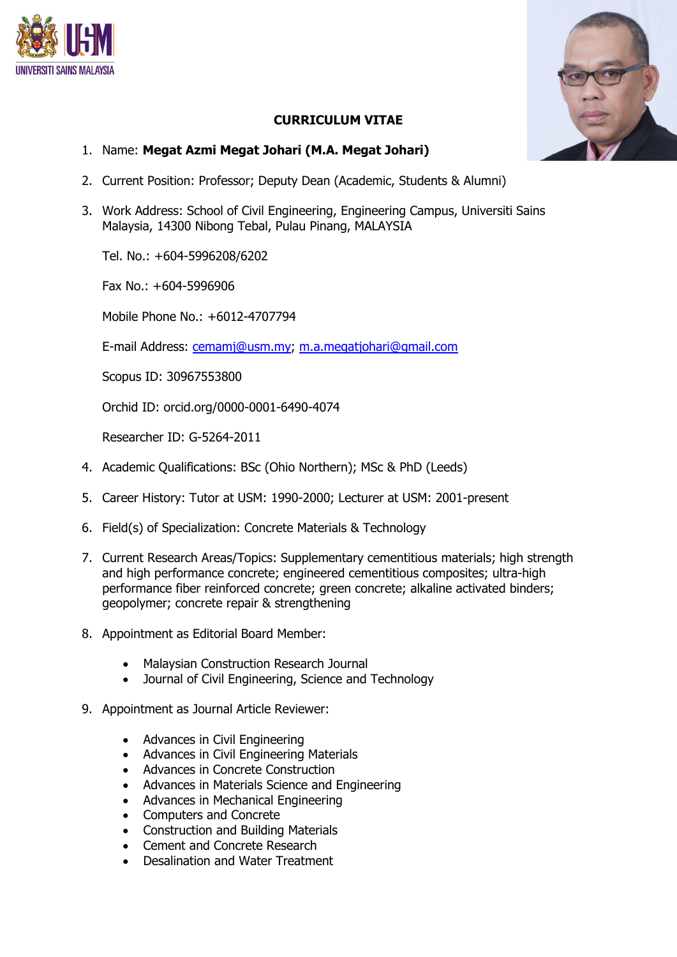



## **CURRICULUM VITAE**

- 1. Name: **Megat Azmi Megat Johari (M.A. Megat Johari)**
- 2. Current Position: Professor; Deputy Dean (Academic, Students & Alumni)
- 3. Work Address: School of Civil Engineering, Engineering Campus, Universiti Sains Malaysia, 14300 Nibong Tebal, Pulau Pinang, MALAYSIA

Tel. No.: +604-5996208/6202

Fax No.: +604-5996906

Mobile Phone No.: +6012-4707794

E-mail Address: [cemamj@usm.my;](mailto:cemamj@usm.my) [m.a.megatjohari@gmail.com](mailto:m.a.megatjohari@gmail.com)

Scopus ID: 30967553800

Orchid ID: orcid.org/0000-0001-6490-4074

Researcher ID: G-5264-2011

- 4. Academic Qualifications: BSc (Ohio Northern); MSc & PhD (Leeds)
- 5. Career History: Tutor at USM: 1990-2000; Lecturer at USM: 2001-present
- 6. Field(s) of Specialization: Concrete Materials & Technology
- 7. Current Research Areas/Topics: Supplementary cementitious materials; high strength and high performance concrete; engineered cementitious composites; ultra-high performance fiber reinforced concrete; green concrete; alkaline activated binders; geopolymer; concrete repair & strengthening
- 8. Appointment as Editorial Board Member:
	- Malaysian Construction Research Journal
	- Journal of Civil Engineering, Science and Technology
- 9. Appointment as Journal Article Reviewer:
	- Advances in Civil Engineering
	- Advances in Civil Engineering Materials
	- Advances in Concrete Construction
	- Advances in Materials Science and Engineering
	- Advances in Mechanical Engineering
	- Computers and Concrete
	- Construction and Building Materials
	- Cement and Concrete Research
	- Desalination and Water Treatment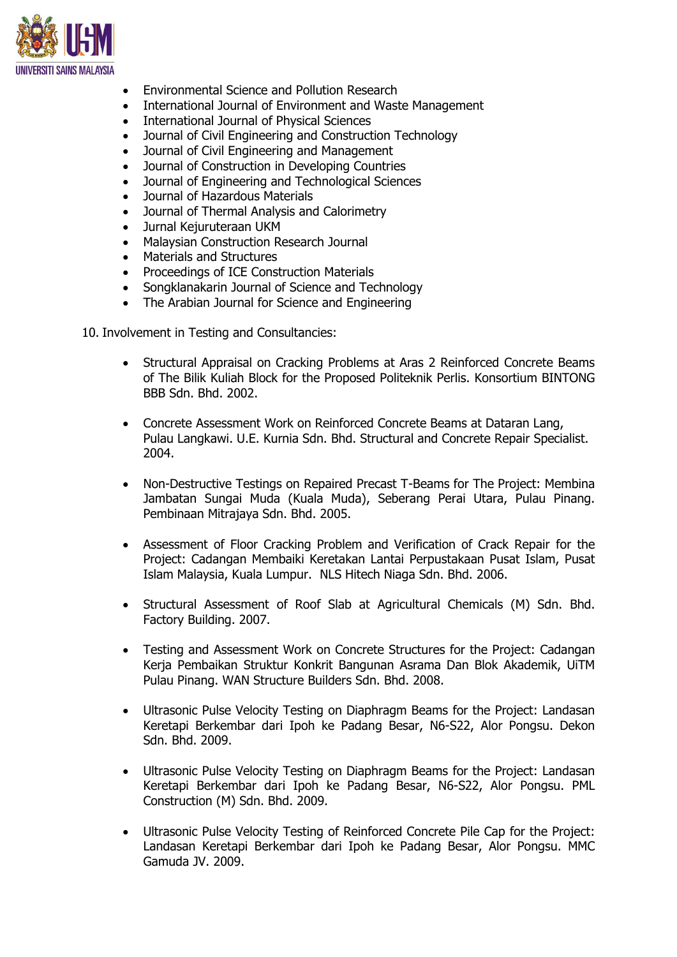

- Environmental Science and Pollution Research
- International Journal of Environment and Waste Management
- International Journal of Physical Sciences
- Journal of Civil Engineering and Construction Technology
- Journal of Civil Engineering and Management
- Journal of Construction in Developing Countries
- Journal of Engineering and Technological Sciences
- Journal of Hazardous Materials
- Journal of Thermal Analysis and Calorimetry
- Jurnal Kejuruteraan UKM
- Malaysian Construction Research Journal
- Materials and Structures
- Proceedings of ICE Construction Materials
- Songklanakarin Journal of Science and Technology
- The Arabian Journal for Science and Engineering

10. Involvement in Testing and Consultancies:

- Structural Appraisal on Cracking Problems at Aras 2 Reinforced Concrete Beams of The Bilik Kuliah Block for the Proposed Politeknik Perlis. Konsortium BINTONG BBB Sdn. Bhd. 2002.
- Concrete Assessment Work on Reinforced Concrete Beams at Dataran Lang, Pulau Langkawi. U.E. Kurnia Sdn. Bhd. Structural and Concrete Repair Specialist. 2004.
- Non-Destructive Testings on Repaired Precast T-Beams for The Project: Membina Jambatan Sungai Muda (Kuala Muda), Seberang Perai Utara, Pulau Pinang. Pembinaan Mitrajaya Sdn. Bhd. 2005.
- Assessment of Floor Cracking Problem and Verification of Crack Repair for the Project: Cadangan Membaiki Keretakan Lantai Perpustakaan Pusat Islam, Pusat Islam Malaysia, Kuala Lumpur. NLS Hitech Niaga Sdn. Bhd. 2006.
- Structural Assessment of Roof Slab at Agricultural Chemicals (M) Sdn. Bhd. Factory Building. 2007.
- Testing and Assessment Work on Concrete Structures for the Project: Cadangan Kerja Pembaikan Struktur Konkrit Bangunan Asrama Dan Blok Akademik, UiTM Pulau Pinang. WAN Structure Builders Sdn. Bhd. 2008.
- Ultrasonic Pulse Velocity Testing on Diaphragm Beams for the Project: Landasan Keretapi Berkembar dari Ipoh ke Padang Besar, N6-S22, Alor Pongsu. Dekon Sdn. Bhd. 2009.
- Ultrasonic Pulse Velocity Testing on Diaphragm Beams for the Project: Landasan Keretapi Berkembar dari Ipoh ke Padang Besar, N6-S22, Alor Pongsu. PML Construction (M) Sdn. Bhd. 2009.
- Ultrasonic Pulse Velocity Testing of Reinforced Concrete Pile Cap for the Project: Landasan Keretapi Berkembar dari Ipoh ke Padang Besar, Alor Pongsu. MMC Gamuda JV. 2009.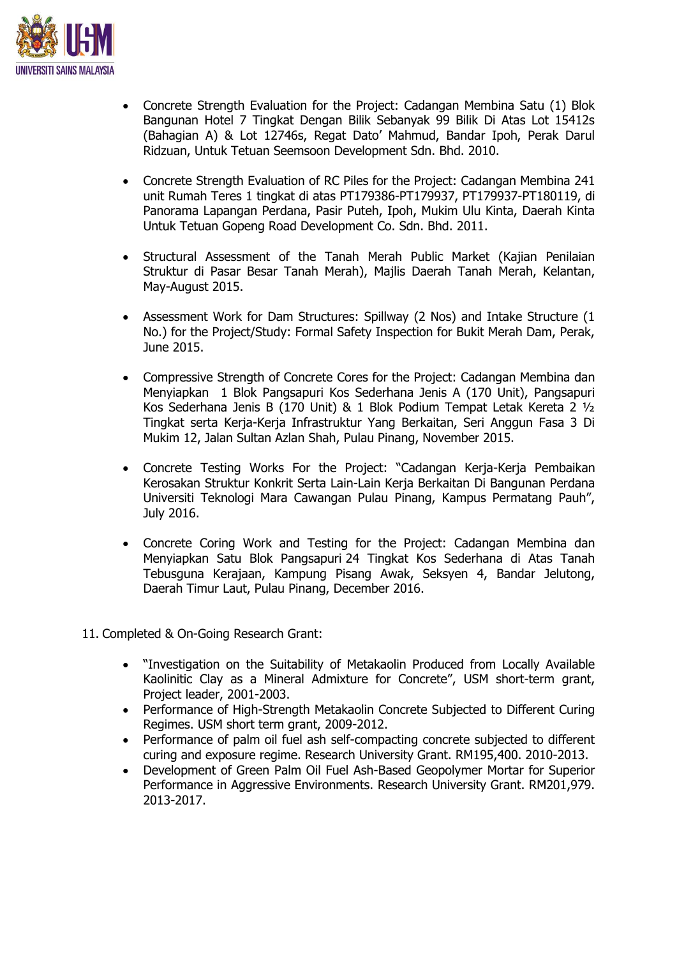

- Concrete Strength Evaluation for the Project: Cadangan Membina Satu (1) Blok Bangunan Hotel 7 Tingkat Dengan Bilik Sebanyak 99 Bilik Di Atas Lot 15412s (Bahagian A) & Lot 12746s, Regat Dato' Mahmud, Bandar Ipoh, Perak Darul Ridzuan, Untuk Tetuan Seemsoon Development Sdn. Bhd. 2010.
- Concrete Strength Evaluation of RC Piles for the Project: Cadangan Membina 241 unit Rumah Teres 1 tingkat di atas PT179386-PT179937, PT179937-PT180119, di Panorama Lapangan Perdana, Pasir Puteh, Ipoh, Mukim Ulu Kinta, Daerah Kinta Untuk Tetuan Gopeng Road Development Co. Sdn. Bhd. 2011.
- Structural Assessment of the Tanah Merah Public Market (Kajian Penilaian Struktur di Pasar Besar Tanah Merah), Majlis Daerah Tanah Merah, Kelantan, May-August 2015.
- Assessment Work for Dam Structures: Spillway (2 Nos) and Intake Structure (1 No.) for the Project/Study: Formal Safety Inspection for Bukit Merah Dam, Perak, June 2015.
- Compressive Strength of Concrete Cores for the Project: Cadangan Membina dan Menyiapkan 1 Blok Pangsapuri Kos Sederhana Jenis A (170 Unit), Pangsapuri Kos Sederhana Jenis B (170 Unit) & 1 Blok Podium Tempat Letak Kereta 2 ½ Tingkat serta Kerja-Kerja Infrastruktur Yang Berkaitan, Seri Anggun Fasa 3 Di Mukim 12, Jalan Sultan Azlan Shah, Pulau Pinang, November 2015.
- Concrete Testing Works For the Project: "Cadangan Kerja-Kerja Pembaikan Kerosakan Struktur Konkrit Serta Lain-Lain Kerja Berkaitan Di Bangunan Perdana Universiti Teknologi Mara Cawangan Pulau Pinang, Kampus Permatang Pauh", July 2016.
- Concrete Coring Work and Testing for the Project: Cadangan Membina dan Menyiapkan Satu Blok Pangsapuri 24 Tingkat Kos Sederhana di Atas Tanah Tebusguna Kerajaan, Kampung Pisang Awak, Seksyen 4, Bandar Jelutong, Daerah Timur Laut, Pulau Pinang, December 2016.
- 11. Completed & On-Going Research Grant:
	- "Investigation on the Suitability of Metakaolin Produced from Locally Available Kaolinitic Clay as a Mineral Admixture for Concrete", USM short-term grant, Project leader, 2001-2003.
	- Performance of High-Strength Metakaolin Concrete Subjected to Different Curing Regimes. USM short term grant, 2009-2012.
	- Performance of palm oil fuel ash self-compacting concrete subjected to different curing and exposure regime. Research University Grant. RM195,400. 2010-2013.
	- Development of Green Palm Oil Fuel Ash-Based Geopolymer Mortar for Superior Performance in Aggressive Environments. Research University Grant. RM201,979. 2013-2017.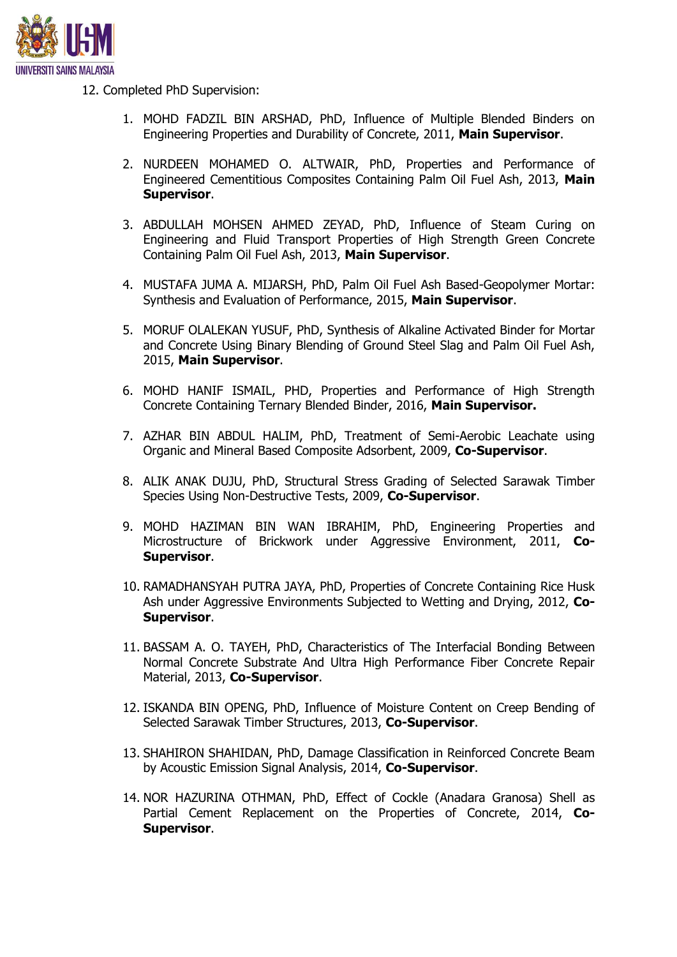

12. Completed PhD Supervision:

- 1. MOHD FADZIL BIN ARSHAD, PhD, Influence of Multiple Blended Binders on Engineering Properties and Durability of Concrete, 2011, **Main Supervisor**.
- 2. NURDEEN MOHAMED O. ALTWAIR, PhD, Properties and Performance of Engineered Cementitious Composites Containing Palm Oil Fuel Ash, 2013, **Main Supervisor**.
- 3. ABDULLAH MOHSEN AHMED ZEYAD, PhD, Influence of Steam Curing on Engineering and Fluid Transport Properties of High Strength Green Concrete Containing Palm Oil Fuel Ash, 2013, **Main Supervisor**.
- 4. MUSTAFA JUMA A. MIJARSH, PhD, Palm Oil Fuel Ash Based-Geopolymer Mortar: Synthesis and Evaluation of Performance, 2015, **Main Supervisor**.
- 5. MORUF OLALEKAN YUSUF, PhD, Synthesis of Alkaline Activated Binder for Mortar and Concrete Using Binary Blending of Ground Steel Slag and Palm Oil Fuel Ash, 2015, **Main Supervisor**.
- 6. MOHD HANIF ISMAIL, PHD, Properties and Performance of High Strength Concrete Containing Ternary Blended Binder, 2016, **Main Supervisor.**
- 7. AZHAR BIN ABDUL HALIM, PhD, Treatment of Semi-Aerobic Leachate using Organic and Mineral Based Composite Adsorbent, 2009, **Co-Supervisor**.
- 8. ALIK ANAK DUJU, PhD, Structural Stress Grading of Selected Sarawak Timber Species Using Non-Destructive Tests, 2009, **Co-Supervisor**.
- 9. MOHD HAZIMAN BIN WAN IBRAHIM, PhD, Engineering Properties and Microstructure of Brickwork under Aggressive Environment, 2011, **Co-Supervisor**.
- 10. RAMADHANSYAH PUTRA JAYA, PhD, Properties of Concrete Containing Rice Husk Ash under Aggressive Environments Subjected to Wetting and Drying, 2012, **Co-Supervisor**.
- 11. BASSAM A. O. TAYEH, PhD, Characteristics of The Interfacial Bonding Between Normal Concrete Substrate And Ultra High Performance Fiber Concrete Repair Material, 2013, **Co-Supervisor**.
- 12. ISKANDA BIN OPENG, PhD, Influence of Moisture Content on Creep Bending of Selected Sarawak Timber Structures, 2013, **Co-Supervisor**.
- 13. SHAHIRON SHAHIDAN, PhD, Damage Classification in Reinforced Concrete Beam by Acoustic Emission Signal Analysis, 2014, **Co-Supervisor**.
- 14. NOR HAZURINA OTHMAN, PhD, Effect of Cockle (Anadara Granosa) Shell as Partial Cement Replacement on the Properties of Concrete, 2014, **Co-Supervisor**.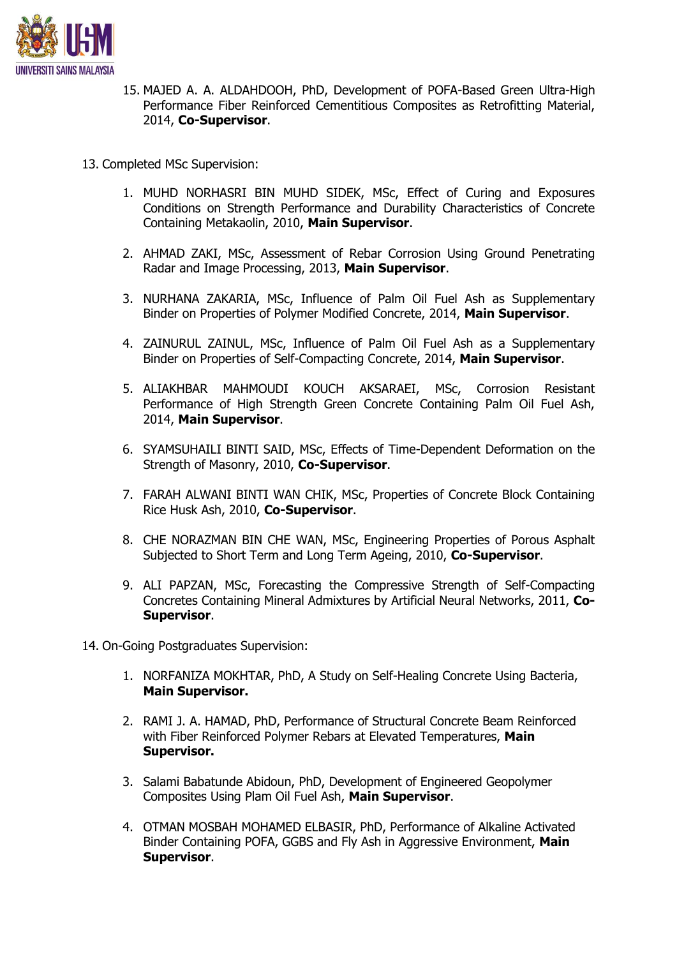

- 15. MAJED A. A. ALDAHDOOH, PhD, Development of POFA-Based Green Ultra-High Performance Fiber Reinforced Cementitious Composites as Retrofitting Material, 2014, **Co-Supervisor**.
- 13. Completed MSc Supervision:
	- 1. MUHD NORHASRI BIN MUHD SIDEK, MSc, Effect of Curing and Exposures Conditions on Strength Performance and Durability Characteristics of Concrete Containing Metakaolin, 2010, **Main Supervisor**.
	- 2. AHMAD ZAKI, MSc, Assessment of Rebar Corrosion Using Ground Penetrating Radar and Image Processing, 2013, **Main Supervisor**.
	- 3. NURHANA ZAKARIA, MSc, Influence of Palm Oil Fuel Ash as Supplementary Binder on Properties of Polymer Modified Concrete, 2014, **Main Supervisor**.
	- 4. ZAINURUL ZAINUL, MSc, Influence of Palm Oil Fuel Ash as a Supplementary Binder on Properties of Self-Compacting Concrete, 2014, **Main Supervisor**.
	- 5. ALIAKHBAR MAHMOUDI KOUCH AKSARAEI, MSc, Corrosion Resistant Performance of High Strength Green Concrete Containing Palm Oil Fuel Ash, 2014, **Main Supervisor**.
	- 6. SYAMSUHAILI BINTI SAID, MSc, Effects of Time-Dependent Deformation on the Strength of Masonry, 2010, **Co-Supervisor**.
	- 7. FARAH ALWANI BINTI WAN CHIK, MSc, Properties of Concrete Block Containing Rice Husk Ash, 2010, **Co-Supervisor**.
	- 8. CHE NORAZMAN BIN CHE WAN, MSc, Engineering Properties of Porous Asphalt Subjected to Short Term and Long Term Ageing, 2010, **Co-Supervisor**.
	- 9. ALI PAPZAN, MSc, Forecasting the Compressive Strength of Self-Compacting Concretes Containing Mineral Admixtures by Artificial Neural Networks, 2011, **Co-Supervisor**.

14. On-Going Postgraduates Supervision:

- 1. NORFANIZA MOKHTAR, PhD, A Study on Self-Healing Concrete Using Bacteria, **Main Supervisor.**
- 2. RAMI J. A. HAMAD, PhD, Performance of Structural Concrete Beam Reinforced with Fiber Reinforced Polymer Rebars at Elevated Temperatures, **Main Supervisor.**
- 3. Salami Babatunde Abidoun, PhD, Development of Engineered Geopolymer Composites Using Plam Oil Fuel Ash, **Main Supervisor**.
- 4. OTMAN MOSBAH MOHAMED ELBASIR, PhD, Performance of Alkaline Activated Binder Containing POFA, GGBS and Fly Ash in Aggressive Environment, **Main Supervisor**.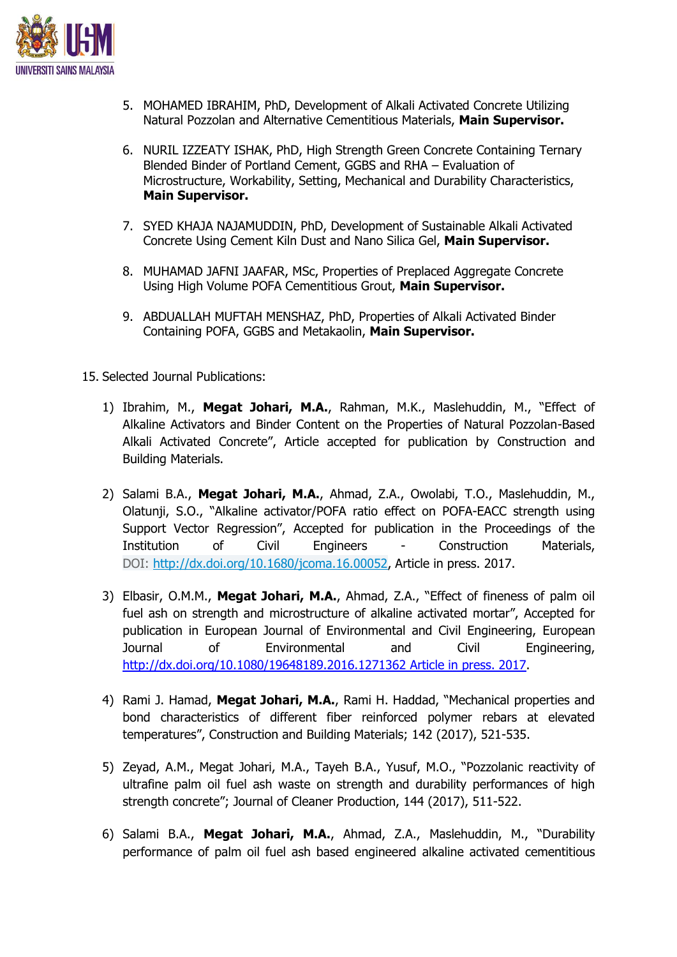

- 5. MOHAMED IBRAHIM, PhD, Development of Alkali Activated Concrete Utilizing Natural Pozzolan and Alternative Cementitious Materials, **Main Supervisor.**
- 6. NURIL IZZEATY ISHAK, PhD, High Strength Green Concrete Containing Ternary Blended Binder of Portland Cement, GGBS and RHA – Evaluation of Microstructure, Workability, Setting, Mechanical and Durability Characteristics, **Main Supervisor.**
- 7. SYED KHAJA NAJAMUDDIN, PhD, Development of Sustainable Alkali Activated Concrete Using Cement Kiln Dust and Nano Silica Gel, **Main Supervisor.**
- 8. MUHAMAD JAFNI JAAFAR, MSc, Properties of Preplaced Aggregate Concrete Using High Volume POFA Cementitious Grout, **Main Supervisor.**
- 9. ABDUALLAH MUFTAH MENSHAZ, PhD, Properties of Alkali Activated Binder Containing POFA, GGBS and Metakaolin, **Main Supervisor.**
- 15. Selected Journal Publications:
	- 1) Ibrahim, M., **Megat Johari, M.A.**, Rahman, M.K., Maslehuddin, M., "Effect of Alkaline Activators and Binder Content on the Properties of Natural Pozzolan-Based Alkali Activated Concrete", Article accepted for publication by Construction and Building Materials.
	- 2) Salami B.A., **Megat Johari, M.A.**, Ahmad, Z.A., Owolabi, T.O., Maslehuddin, M., Olatunji, S.O., "Alkaline activator/POFA ratio effect on POFA-EACC strength using Support Vector Regression", Accepted for publication in the Proceedings of the Institution of Civil Engineers - Construction Materials, DOI: [http://dx.doi.org/10.1680/jcoma.16.00052,](http://dx.doi.org/10.1680/jcoma.16.00052) Article in press. 2017.
	- 3) Elbasir, O.M.M., **Megat Johari, M.A.**, Ahmad, Z.A., "Effect of fineness of palm oil fuel ash on strength and microstructure of alkaline activated mortar", Accepted for publication in European Journal of Environmental and Civil Engineering, European Journal of Environmental and Civil Engineering, [http://dx.doi.org/10.1080/19648189.2016.1271362 Article in press. 2017.](http://dx.doi.org/10.1080/19648189.2016.1271362%20Article%20in%20press.%202017)
	- 4) Rami J. Hamad, **Megat Johari, M.A.**, Rami H. Haddad, "Mechanical properties and bond characteristics of different fiber reinforced polymer rebars at elevated temperatures", Construction and Building Materials; 142 (2017), 521-535.
	- 5) Zeyad, A.M., Megat Johari, M.A., Tayeh B.A., Yusuf, M.O., "Pozzolanic reactivity of ultrafine palm oil fuel ash waste on strength and durability performances of high strength concrete"; Journal of Cleaner Production, 144 (2017), 511-522.
	- 6) Salami B.A., **Megat Johari, M.A.**, Ahmad, Z.A., Maslehuddin, M., "Durability performance of palm oil fuel ash based engineered alkaline activated cementitious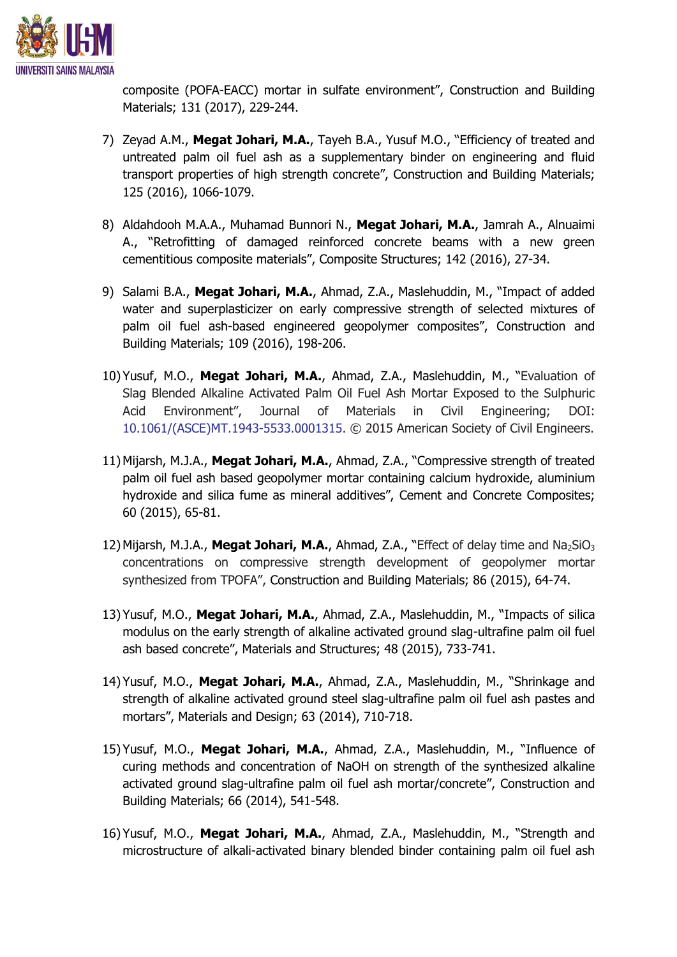

composite (POFA-EACC) mortar in sulfate environment", Construction and Building Materials; 131 (2017), 229-244.

- 7) Zeyad A.M., **Megat Johari, M.A.**, Tayeh B.A., Yusuf M.O., "Efficiency of treated and untreated palm oil fuel ash as a supplementary binder on engineering and fluid transport properties of high strength concrete", Construction and Building Materials; 125 (2016), 1066-1079.
- 8) Aldahdooh M.A.A., Muhamad Bunnori N., **Megat Johari, M.A.**, Jamrah A., Alnuaimi A., "Retrofitting of damaged reinforced concrete beams with a new green cementitious composite materials", Composite Structures; 142 (2016), 27-34.
- 9) Salami B.A., **Megat Johari, M.A.**, Ahmad, Z.A., Maslehuddin, M., "Impact of added water and superplasticizer on early compressive strength of selected mixtures of palm oil fuel ash-based engineered geopolymer composites", Construction and Building Materials; 109 (2016), 198-206.
- 10) Yusuf, M.O., **Megat Johari, M.A.**, Ahmad, Z.A., Maslehuddin, M., "Evaluation of Slag Blended Alkaline Activated Palm Oil Fuel Ash Mortar Exposed to the Sulphuric Acid Environment", Journal of Materials in Civil Engineering; DOI: 10.1061/(ASCE)MT.1943-5533.0001315. © 2015 American Society of Civil Engineers.
- 11) Mijarsh, M.J.A., **Megat Johari, M.A.**, Ahmad, Z.A., "Compressive strength of treated palm oil fuel ash based geopolymer mortar containing calcium hydroxide, aluminium hydroxide and silica fume as mineral additives", Cement and Concrete Composites; 60 (2015), 65-81.
- 12) Mijarsh, M.J.A., Megat Johari, M.A., Ahmad, Z.A., "Effect of delay time and Na<sub>2</sub>SiO<sub>3</sub> concentrations on compressive strength development of geopolymer mortar synthesized from TPOFA", Construction and Building Materials; 86 (2015), 64-74.
- 13) Yusuf, M.O., **Megat Johari, M.A.**, Ahmad, Z.A., Maslehuddin, M., "Impacts of silica modulus on the early strength of alkaline activated ground slag-ultrafine palm oil fuel ash based concrete", Materials and Structures; 48 (2015), 733-741.
- 14) Yusuf, M.O., **Megat Johari, M.A.**, Ahmad, Z.A., Maslehuddin, M., "Shrinkage and strength of alkaline activated ground steel slag-ultrafine palm oil fuel ash pastes and mortars", Materials and Design; 63 (2014), 710-718.
- 15) Yusuf, M.O., **Megat Johari, M.A.**, Ahmad, Z.A., Maslehuddin, M., "Influence of curing methods and concentration of NaOH on strength of the synthesized alkaline activated ground slag-ultrafine palm oil fuel ash mortar/concrete", Construction and Building Materials; 66 (2014), 541-548.
- 16) Yusuf, M.O., **Megat Johari, M.A.**, Ahmad, Z.A., Maslehuddin, M., "Strength and microstructure of alkali-activated binary blended binder containing palm oil fuel ash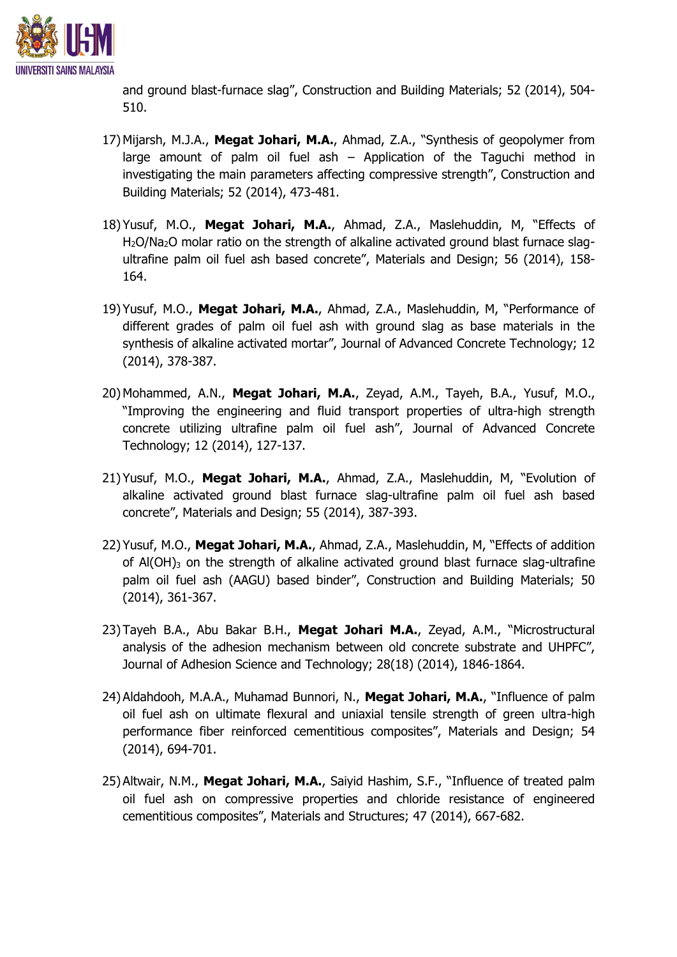

and ground blast-furnace slag", Construction and Building Materials; 52 (2014), 504- 510.

- 17) Mijarsh, M.J.A., **Megat Johari, M.A.**, Ahmad, Z.A., "Synthesis of geopolymer from large amount of palm oil fuel ash – Application of the Taguchi method in investigating the main parameters affecting compressive strength", Construction and Building Materials; 52 (2014), 473-481.
- 18) Yusuf, M.O., **Megat Johari, M.A.**, Ahmad, Z.A., Maslehuddin, M, "Effects of H<sub>2</sub>O/Na<sub>2</sub>O molar ratio on the strength of alkaline activated ground blast furnace slagultrafine palm oil fuel ash based concrete", Materials and Design; 56 (2014), 158- 164.
- 19) Yusuf, M.O., **Megat Johari, M.A.**, Ahmad, Z.A., Maslehuddin, M, "Performance of different grades of palm oil fuel ash with ground slag as base materials in the synthesis of alkaline activated mortar", Journal of Advanced Concrete Technology; 12 (2014), 378-387.
- 20) Mohammed, A.N., **Megat Johari, M.A.**, Zeyad, A.M., Tayeh, B.A., Yusuf, M.O., "Improving the engineering and fluid transport properties of ultra-high strength concrete utilizing ultrafine palm oil fuel ash", Journal of Advanced Concrete Technology; 12 (2014), 127-137.
- 21) Yusuf, M.O., **Megat Johari, M.A.**, Ahmad, Z.A., Maslehuddin, M, "Evolution of alkaline activated ground blast furnace slag-ultrafine palm oil fuel ash based concrete", Materials and Design; 55 (2014), 387-393.
- 22) Yusuf, M.O., **Megat Johari, M.A.**, Ahmad, Z.A., Maslehuddin, M, "Effects of addition of  $A(OH)$ <sub>3</sub> on the strength of alkaline activated ground blast furnace slag-ultrafine palm oil fuel ash (AAGU) based binder", Construction and Building Materials; 50 (2014), 361-367.
- 23) Tayeh B.A., Abu Bakar B.H., **Megat Johari M.A.**, Zeyad, A.M., "Microstructural analysis of the adhesion mechanism between old concrete substrate and UHPFC", Journal of Adhesion Science and Technology; 28(18) (2014), 1846-1864.
- 24) Aldahdooh, M.A.A., Muhamad Bunnori, N., **Megat Johari, M.A.**, "Influence of palm oil fuel ash on ultimate flexural and uniaxial tensile strength of green ultra-high performance fiber reinforced cementitious composites", Materials and Design; 54 (2014), 694-701.
- 25) Altwair, N.M., **Megat Johari, M.A.**, Saiyid Hashim, S.F., "Influence of treated palm oil fuel ash on compressive properties and chloride resistance of engineered cementitious composites", Materials and Structures; 47 (2014), 667-682.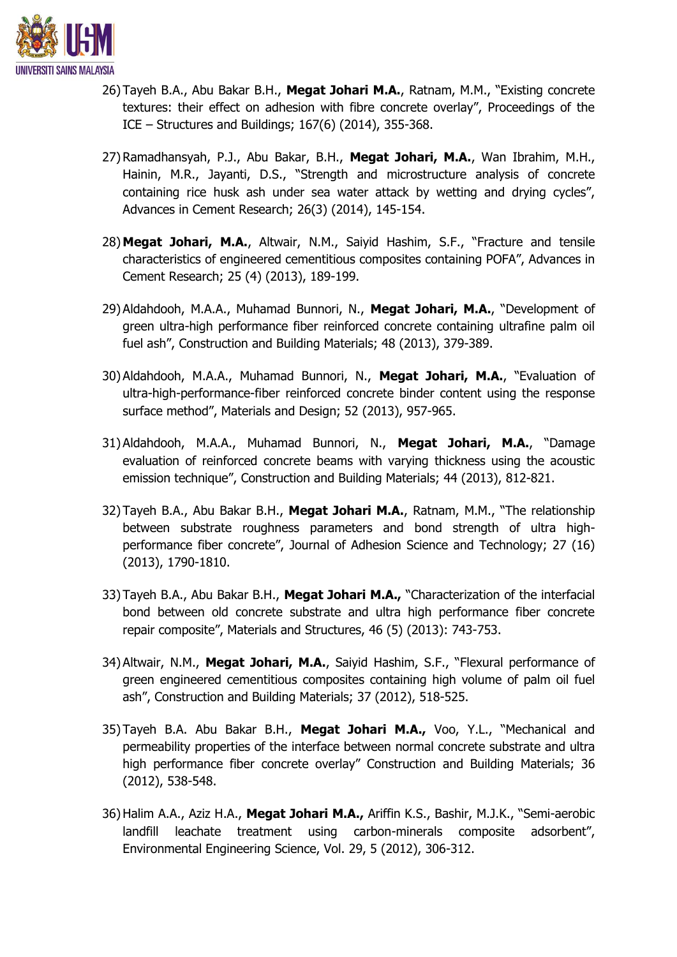

- 26) Tayeh B.A., Abu Bakar B.H., **Megat Johari M.A.**, Ratnam, M.M., "Existing concrete textures: their effect on adhesion with fibre concrete overlay", Proceedings of the ICE – Structures and Buildings; 167(6) (2014), 355-368.
- 27) Ramadhansyah, P.J., Abu Bakar, B.H., **Megat Johari, M.A.**, Wan Ibrahim, M.H., Hainin, M.R., Jayanti, D.S., "Strength and microstructure analysis of concrete containing rice husk ash under sea water attack by wetting and drying cycles", Advances in Cement Research; 26(3) (2014), 145-154.
- 28) **Megat Johari, M.A.**, Altwair, N.M., Saiyid Hashim, S.F., "Fracture and tensile characteristics of engineered cementitious composites containing POFA", Advances in Cement Research; 25 (4) (2013), 189-199.
- 29) Aldahdooh, M.A.A., Muhamad Bunnori, N., **Megat Johari, M.A.**, "Development of green ultra-high performance fiber reinforced concrete containing ultrafine palm oil fuel ash", Construction and Building Materials; 48 (2013), 379-389.
- 30) Aldahdooh, M.A.A., Muhamad Bunnori, N., **Megat Johari, M.A.**, "Evaluation of ultra-high-performance-fiber reinforced concrete binder content using the response surface method", Materials and Design; 52 (2013), 957-965.
- 31) Aldahdooh, M.A.A., Muhamad Bunnori, N., **Megat Johari, M.A.**, "Damage evaluation of reinforced concrete beams with varying thickness using the acoustic emission technique", Construction and Building Materials; 44 (2013), 812-821.
- 32) Tayeh B.A., Abu Bakar B.H., **Megat Johari M.A.**, Ratnam, M.M., "The relationship between substrate roughness parameters and bond strength of ultra highperformance fiber concrete", Journal of Adhesion Science and Technology; 27 (16) (2013), 1790-1810.
- 33) Tayeh B.A., Abu Bakar B.H., **Megat Johari M.A.,** "Characterization of the interfacial bond between old concrete substrate and ultra high performance fiber concrete repair composite", Materials and Structures, 46 (5) (2013): 743-753.
- 34) Altwair, N.M., **Megat Johari, M.A.**, Saiyid Hashim, S.F., "Flexural performance of green engineered cementitious composites containing high volume of palm oil fuel ash", Construction and Building Materials; 37 (2012), 518-525.
- 35) Tayeh B.A. Abu Bakar B.H., **Megat Johari M.A.,** Voo, Y.L., "Mechanical and permeability properties of the interface between normal concrete substrate and ultra high performance fiber concrete overlay" Construction and Building Materials; 36 (2012), 538-548.
- 36)Halim A.A., Aziz H.A., **Megat Johari M.A.,** Ariffin K.S., Bashir, M.J.K., "Semi-aerobic landfill leachate treatment using carbon-minerals composite adsorbent", Environmental Engineering Science, Vol. 29, 5 (2012), 306-312.